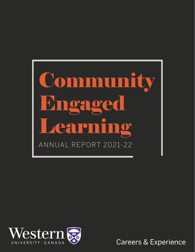



Careers & Experience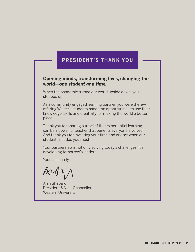### **PRESIDENT'S THANK YOU**

#### **Opening minds, transforming lives, changing the world—***one student at a time.*

When the pandemic turned our world upside down, you stepped up.

As a community engaged learning partner, you were there offering Western students hands-on opportunities to use their knowledge, skills and creativity for making the world a better place.

Thank you for sharing our belief that experiential learning can be a powerful teacher that benefits everyone involved. And thank you for investing your time and energy when our students needed you most.

Your partnership is not only solving today's challenges, it's developing tomorrow's leaders.

Yours sincerely,

Alan Shepard President & Vice-Chancellor Western University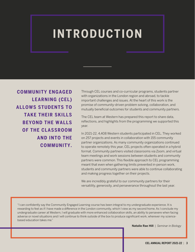# **INTRODUCTION**

**COMMUNITY ENGAGED LEARNING (CEL) ALLOWS STUDENTS TO TAKE THEIR SKILLS BEYOND THE WALLS OF THE CLASSROOM AND INTO THE COMMUNITY.** Through CEL courses and co-curricular programs, students partner with organizations in the London region and abroad, to tackle important challenges and issues. At the heart of this work is the promise of community-driven problem solving, collaboration, and mutually beneficial outcomes for students and community partners.

The CEL team at Western has prepared this report to share data, reflections, and highlights from the programming we supported this year.

In 2021-22, 4,408 Western students participated in CEL. They worked on 257 projects and events in collaboration with 155 community partner organizations. As many community organizations continued to operate remotely this year, CEL projects often operated in a hybrid format. Community partners visited classrooms via Zoom, and virtual team meetings and work sessions between students and community partners were common. This flexible approach to CEL programming meant that even when gathering limits prevented in-person work, students and community partners were able to continue collaborating and making progress together on their projects.

We are incredibly grateful to our community partners for their versatility, generosity, and perseverance throughout the last year.

"I can confidently say the Community Engaged Learning course has been integral to my undergraduate experience. It is rewarding to feel as if I have made a difference in the London community, which I view as my second home. As I conclude my undergraduate career at Western, I will graduate with more enhanced collaboration skills, an ability to persevere when facing adverse or novel situations and I will continue to think outside of the box to produce significant work, wherever my sciencebased education takes me."

**Natalie Rae Hill** | *Seminar in Biology*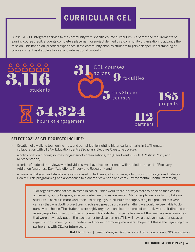## **CURRICULAR CEL**

Curricular CEL integrates service to the community with specific course curriculum. As part of the requirements of earning course credit, students complete a placement or project defined by a community organization to advance their mission. This hands-on, practical experience in the community enables students to gain a deeper understanding of course content as it applies to local and international contexts.



#### **SELECT 2021-22 CEL PROJECTS INCLUDE:**

- Creation of a walking tour, online map, and pamphlet highlighting historical landmarks in St. Thomas, in collaboration with STEAM Education Centre (Scholar's Electives Capstone course);
- a policy brief on funding sources for grassroots organizations, for Queer Events (LGBTQ Politics: Policy and Representation);
- a series of podcast interviews with individuals who have lived experience with addiction, as part of Recovery Addiction Awareness Day (Addictions: Theory and Research); and
- environmental scan and literature review focused on Indigenous food sovereignty to support Indigenous Diabetes Health Circle programming and approaches to diabetes prevention and care (Environmental Health Promotion).

"For organizations that are invested in social justice work, there is always more to be done than can be achieved by our colleagues, especially when resources are limited. Many people are reluctant to take on students in case it is more work than just doing it yourself, but after supervising two projects this year I can say that what both project teams achieved greatly surpassed anything we would've been able to do ourselves in house. The students were highly organized and kept the project on track, were self-directed but asking important questions...the outcome of both student projects has meant that we have new resources that were previously put on the backburner for development. This will have a positive impact for us as an organization in meeting our mandate and for our community members. I hope that this is the beginning of a partnership with CEL for future years."

**Kat Hamilton** | *Senior Manager, Advocacy and Public Education, CNIB Foundation*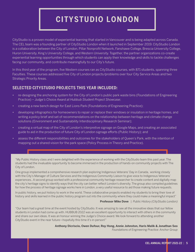## **CITYSTUDIO LONDON**

CityStudio is a proven model of experiential learning that started in Vancouver and is being adapted across Canada. The CEL team was a founding partner of CityStudio London when it launched in September 2019. CityStudio London is a collaboration between the City of London, Pillar Nonprofit Network, Fanshawe College, Brescia University College, Huron University, King's University College, and Western University. Together, the partner organizations co-create experiential learning opportunities through which students can apply their knowledge and skills to tackle challenges facing our community, and contribute meaningfully to our City's future.

In this third year of the program, five Western courses ran as CityStudio courses, with 871 students, spanning three Faculties. These courses addressed five City of London projects/problems over four City Service Areas and two Strategic Priority Areas.

#### **SELECTED CITYSTUDIO PROJECTS THIS YEAR INCLUDED:**

- re-designing the anchoring system for the City of London's public park waste bins (Foundations of Engineering Practice) – *Judge's Choice Award at Hubbub Student Project Showcase*;
- creating a new bench design for East Lions Park (Foundations of Engineering Practice);
- developing infographics for homeowners to repair or replace their windows or insulation in heritage homes, and writing a policy brief and set of recommendations on the relationship between heritage and climate change solutions (Environment and Sustainability Interdisciplinary Research Seminar);
- creating a virtual map of the City of London's interpretive signage on Google Maps, and creating an associated guide to aid in the production of future City of London signage efforts (Public History); and
- assess the different responsibilities and outcomes for the stakeholders of Queen's Park, with the intention of mapping out a shared vision for the park space (Policy Process in Theory and Practice).

"My Public History class and I were delighted with the experience of working with the CityStudio team this past year. The students had the invaluable opportunity to become immersed in the production of hands-on community projects with The City of London.

One group implemented a comprehensive research plan exploring Indigenous Veterans' Day in Canada, working closely with the City's Manager of Culture Services and the Indigenous Community Liaison to give voice to Indigenous Veterans' experiences.. A second group worked with a professional community heritage researcher to create content and digitally map the city's heritage signs to identify ways that the city can better reflect London's diversity. The group also compiled guidelines for how the process of heritage signage works here in London, a very useful resource to aid those making future requests.

In public history, we put history to work in the world. These collaborative projects enabled my students to bring their love of history and skills learned in the public history program out into the community where they could make a meaningful impact"

**Professor Mike Dove** | *Public History (CityStudio London)*

"Our team had a great time at the event hosted by CityStudio. It was amazing to see all the innovative ideas that our fellow students in London had come up with. HUBBUB 2022 was an excellent opportunity to interact with others in the community and share our own ideas. It was an honour winning the Judge's Choice award. We look forward to attending another CityStudio event in the near future—hopefully this time it's in-person!"

> **Anthony Dicriscio, Owen Dufour, Roy Hong, Annie Johnston, Haris Malik & Jonathan Seo**  *Foundations of Engineering Practice: Anchor Group*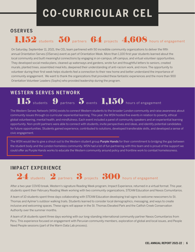# **CO-CURRICULAR CEL**

#### **OSERVES**

# 1,152 students 50 partners 64 projects 4,608 hours of engagement

On Saturday, September 11, 2021, the CEL team partnered with 50 incredible community organizations to deliver the fifth annual Orientation Serves (OServes) event as part of Orientation Week. More than 1,100 first-year students learned about the local community and built meaningful connections by engaging in on-campus, off-campus, and virtual volunteer opportunities. They developed social media plans, cleaned up waterways and gardens, wrote fun and thoughtful letters to seniors, created murals, planted trees, assembled meal kits, deepened their understanding of anti-racism work, and more. The opportunity to volunteer during their first week helps students feel a connection to their new home and better understand the importance of community engagement. We want to thank the organizations that provided these fantastic experiences and the more than 900 Orientation Volunteer Leaders (Sophs) who provided leadership during the program.

115 students  $9$  partners 5 events 1,150 hours of engagement

### **WESTERN SERVES NETWORK**

The Western Serves Network (WSN) exists to connect Western students to the broader London community and raise awareness about community issues through co-curricular experiential learning. This year, the WSN hosted five events in relation to poverty, ethical global volunteering, mental health, and mindfulness. Each event included a panel of community speakers and an experiential learning opportunity. Non-profit partners were able to connect with students, invite perspectives and ideas, and identify potential candidates for future opportunities. Students gained experience, contributed to solutions, developed transferable skills, and developed a sense of civic engagement.

The WSN would like to give a shout-out to the Western student group Purple Hands for their commitment to bridging the gap between the student body and the London homeless community. WSN had a lot of fun partnering with this team and is proud of the support we could offer as Purple Hands works to educate the Western community around policy and frontline work to combat homelessness.

#### **IMPACT EXPERIENCE**



After a two-year COVID break, Western's signature Reading Week program, Impact Experience, returned in a virtual format. This year, students spent their February Reading Week working with two community organizations, STEAM Education and Nexos Comunitarios.

A team of 10 students spent three days collaborating with STEAM Education developing trail signs to welcome newcomers to St. Thomas and Aylmer's outdoor walking trails. Students learned to consider local demographics, messaging, and ways to create inclusive and welcoming spaces. These signs will appear in the St. Thomas Elevated Park and the Catfish Creek Conservation Authority over the summer months.

A team of 14 students spent three days working with our long-standing international community partner Nexos Comunitarios from Peru. This experience focused on engagement with Peruvian community members, exploration of global and local issues, and People Need People sessions (part of the Warm Data Lab process).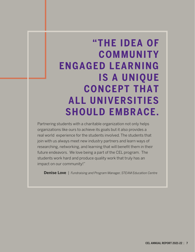# **"THE IDEA OF COMMUNITY ENGAGED LEARNING IS A UNIQUE CONCEPT THAT ALL UNIVERSITIES SHOULD EMBRACE.**

Partnering students with a charitable organization not only helps organizations like ours to achieve its goals but it also provides a real world experience for the students involved. The students that join with us always meet new industry partners and learn ways of researching, networking, and learning that will benefit them in their future endeavors. We love being a part of the CEL program. The students work hard and produce quality work that truly has an impact on our community!"

**Denise Love** | *Fundraising and Program Manager, STEAM Education Centre*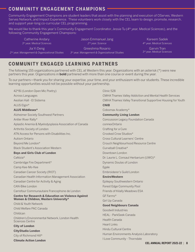#### **COMMUNITY ENGAGEMENT CHAMPIONS**

Community Engagement Champions are student leaders that assist with the planning and execution of OServes, Western Serves Network, and Impact Experience. These volunteers work closely with the CEL team to design, promote, research, and support year-long co-curricular CEL programming.

We would like to thank this year's Community Engagement Coordinator, Jessie Tu (*4th year, Medical Sciences*), and the following Community Engagement Champions:

Catherine Andary *3rd year, Medical Sciences*

Jia Yi Deng *2nd year, Management & Organizational Studies* Jason Emmanuel Jang *2nd year, Science* Greeshma Rosario

*3rd year, Management & Organizational Studies*

Kareem Sadek *4th year, Medical Sciences*

Garvin Tran *3rd year, Medical Sciences*

#### **COMMUNITY ENGAGED LEARNING PARTNERS**

The following 155 organizations partnered with CEL at Western this year. Organizations with an asterisk (\*) were new partners this year. Organizations in **bold** partnered with more than one course or event during the year.

To our partners—thank you for sharing your expertise, your time, and your enthusiasm with our students. These incredible learning opportunities would not be possible without your partnership.

42\*81 (London Open Mic Poetry) Across Languages Aeolian Hall - El Sistema ALUS Elgin\* **ALUS Middlesex\*** Alzheimer Society Southwest Partners Antler River Rally\* Aplastic Anemia & Myelodysplasia Association of Canada Arthritis Society of London ATN Access for Persons with Disabilities Inc. Autism Ontario Beyond Me London\* Black Student's Association Western **Boys and Girls Club of London** Cafézia\* Cambridge Fire Department\* Camp Kee-Mo-Kee Canadian Cancer Society (RIOT) Canadian Health Information Management Association Canadian Centre for Activity & Aging CAN-Bike London Carrefour Communautaire Francophone de London **Centre for Research & Education on Violence Against Women & Children, Western University\*** Child & Youth Network Child Welfare PAC Canada Childcan Children's Environmental Network, London Health Sciences Centre **City of London CityStudio London** City of Richmond Hill\* **Climate Action London**

#### Clinic 528

CMHA Thames Valley Addiction and Mental Health Services CMHA Thames Valley Transitional Supportive Housing for Youth **CNIB** Cobomax Academy\* **Community Living London** Concussion Legacy Foundation Canada connexOntario Crafting for a Cure Crooked Crow Studios\* Cross Cultural Learners' Centre Crouch Neighbourhood Resource Centre Curveball Creative\* Downtown London Dr. Laurie L. Consaul Herbarium (UWO)\* Dynamic Doulas of London Egale Embroiderer's Guild London **EnviroWestern** Epilepsy Southwestern Ontario Forest Edge Community Pool Friends of Kilally Meadows ESA GF Farms\* Girl Up Canada **Good Neighbours Canada** Goodwill Industries HEAL - ParkSeek Canada Health Canada Heart Links Hindu Cultural Centre Human Environments Analysis Laboratory I Love Community - Thorndale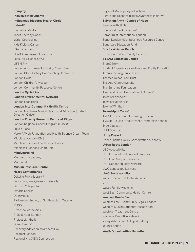#### **Immploy**

**Inclusive Instruments Indigenous Diabetes Health Circle**

#### **Indwell\***

Innovation Works Jabez Therapy Ranch JGrief Counselling Kids Kicking Cancer L'Arche London LEADS Employment Services Let's Talk Science UWO LIFE\*SPIN London Anti-Human Trafficking Committee London Black History Coordinating Committee London CAReS London Children's Museum London Community Resource Centre **London Cycle Link London Environmental Network** London Food Bank **London InterCommunity Health Centre**  London Middlesex Mental Health and Addiction Strategic Direction Office\* **London Poverty Research Centre at Kings**  London Regional Cancer Program (LHSC) Luke's Place Make-A-Wish Foundation and Health Science Dream Team Middlesex-London EMS Middlesex-London Food Policy Council Middlesex-London Health Unit **mindyourmind** Montessori Academy **Motionball Muslim Resource Centre Nexos Comunitarios** Oakville Public Library\* Oasis Program, Queen's University Old East Village BIA Ontario Shores OpenMedia Parkinson's Society of Southwestern Ontario **PHSS** Preschool of the Arts Project Hope London Project Lightbulb Queer Events\* Recovery Addiction Awareness Day ReForest London Regional HIV/AIDS Connection

Regional Municipality of Durham Rights and Responsibilities Awareness Initiative **Salvation Army - Centre of Hope** Seniors with Skills Sherwood Fox Arboretum\* Soroptimist International London South London Neighbourhood Resource Centre Southdale Education Fund **Spirits Whisper Ranch** St. Leonard's Community Services **STEAM Education Centre** Stem2Stern Student Experience - Wellness and Equity Education Terence Kernaghan's Office Thames Talbot Land Trust The Aga Khan University The Sunshine Foundation Town and Gown Association of Ontario\* Town of Espanola\* Town of Halton Hills\* Town of Whitby\* **Township of Zorra\*** TVDSB - Experiential Learning Division TVDSB - Louise Arbour French Immersion School Type Diabeat-it UHN OpenLab **Unity Project** Upper Thames Valley Conservation Authority **Urban Roots London** USC Accessibility USC Ethnocultural Support Services USC Food Support Services USC Gender Equality Network UWO Landscape Services **UWO Sustainability** Vanier Children's Mental Wellness VHA Waves Family Medicine West Elgin Community Health Centre **Western Heads East** Western Law - Community Legal Services Western Muslim Students' Association Westover Treatment Centre Women's Executive Network Young Artists Pre-College Academy Young London **Youth Opportunities Unlimited**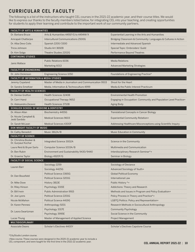### **CURRICULAR CEL FACULTY**

The following is a list of the instructors who taught CEL courses in the 2021-22 academic year, and their course titles. We would like to express our thanks to the faculty members listed below, for integrating CEL into your teaching, and creating opportunities for students to apply their learning and contribute to the important work of our community partners.

| <b>FACULTY OF ARTS &amp; HUMANITIES</b>            |                                                      |                                                                  |
|----------------------------------------------------|------------------------------------------------------|------------------------------------------------------------------|
| Dr. Barbara Bruce                                  | Arts & Humanities 4491F/G to 4494W/X                 | Experiential Learning in the Arts and Humanities                 |
| Amrapali Chatterjee                                | Intercultural Communications 2500G                   | Bridging Classroom & Community: Languages & Cultures in Action   |
| Dr. Alba Devo Colis                                | Spanish 2200/3300                                    | Intermediate and Advanced Spanish                                |
| Tricia Johnson                                     | Studio Art 3692B                                     | Special Topic: Embroiders' Guild                                 |
| Dr. Kim Solga                                      | <b>Theatre Studies 2202G</b>                         | Performance Beyond Theatres                                      |
| <b>CONTINUING STUDIES</b>                          |                                                      |                                                                  |
| Janis Wallace                                      | <b>Public Relations 6036</b>                         | <b>Media Relations</b>                                           |
|                                                    | Marketing 6013                                       | <b>Advanced Marketing Strategies</b>                             |
| <b>FACULTY OF ENGINEERING</b>                      |                                                      |                                                                  |
| Dr. John Dickinson                                 | <b>Engineering Science 1050</b>                      | Foundations of Engineering Practice*                             |
| <b>FACULTY OF INFORMATION &amp; MEDIA STUDIES</b>  |                                                      |                                                                  |
| Jeremy Copeland                                    | Master of Media in Journalism and Communication 9503 | Shoot for the Heart                                              |
| Dr. Sandra Smeltzer                                | Media, Information & Technoculture 4999              | Media & the Public Interest Practicum                            |
| <b>FACULTY OF HEALTH SCIENCES</b>                  |                                                      |                                                                  |
| Dr. Denise Grafton                                 | <b>Health Sciences 3240B</b>                         | <b>Environmental Health Promotion</b>                            |
| Dr. Carri Hand                                     | Occupational Therapy 9652                            | Engaging in Occupation: Community and Population Level Practice+ |
| Dr. Aleksandra Zecevic                             | <b>Health Sciences 3710B</b>                         | Aging Body                                                       |
| <b>SCHULICH SCHOOL OF MEDICINE &amp; DENTISTRY</b> |                                                      |                                                                  |
| Dr. Alison Allan                                   | Biochemistry 4455G                                   | Translational Concepts in Cancer Biology                         |
| Dr. Nicole Campbell &<br><b>Jedd Sardido</b>       | <b>Medical Sciences 9603</b>                         | Experiential Community Rotation+                                 |
| Dr. Sarah McLean                                   | <b>Medical Sciences 4300F</b>                        | Addressing Healthcare Misconceptions using Scientific Inquiry    |
| DON WRIGHT FACULTY OF MUSIC                        |                                                      |                                                                  |
| Dr. Cathy Benedict                                 | Music 3812A/B                                        | Music Education in Community                                     |
| <b>FACULTY OF SCIENCE</b>                          |                                                      |                                                                  |
| Dr. Christina Booker &<br>Dr. Gurpaul Kochar       | Integrated Science 3002A                             | Science in the Community                                         |
| Laura Reid & Bryan Sarlo                           | Computer Science 1033A/B                             | <b>Multimedia and Communication</b>                              |
| Dr. Ben Rubin                                      | Environment and Sustainability 9430/9440             | Interdisciplinary Research Seminar*+                             |
| Dr. Graeme Taylor                                  | Biology 4920F/G                                      | Seminar in Biology                                               |
| <b>FACULTY OF SOCIAL SCIENCE</b>                   |                                                      |                                                                  |
| Lauren Barr                                        | Sociology 2259                                       | Sociology of Deviance                                            |
|                                                    | Sociology 4425G                                      | Advanced Sociology of Youth+                                     |
| Dr. Dan Bousfield                                  | Political Science 3365G                              | <b>Global Political Economy</b>                                  |
|                                                    | Political Science 3201G                              | International Law                                                |
| Dr. Mike Dove                                      | History 3813E                                        | Public History *+                                                |
| Dr. Riley Hinson                                   | Psychology 3315E                                     | Addictions: Theory and Research                                  |
| Dr. Bill Irwin                                     | Public Administration 9915                           | Methods and Issues in Program and Policy Evaluation+             |
| Dr. Joe Lyons                                      | Political Science 2201G                              | Policy Process in Theory and Practice*+                          |
| Nicole McMahon                                     |                                                      | LGBTQ Politics: Policy and Representation+                       |
|                                                    | <b>Political Science 4419G</b>                       |                                                                  |
| Dr. Karen Pennesi                                  | Anthropology 9201                                    | Research Methods in Sociocultural Anthropology                   |
|                                                    | Psychology 3317E                                     | <b>Community Psychology</b>                                      |
| Dr. Leora Swartzman                                | Psychology 3995E                                     | Social Science in the Community                                  |
| Lucas Thung                                        | Master of Management of Applied Science              | <b>Project Management</b>                                        |
| MULTIDISCIPLINARY                                  |                                                      |                                                                  |
| <b>Associate Deans</b>                             | Scholar's Electives 4400Y                            | Scholar's Electives Capstone Course                              |

\*CityStudio London course.

+New course. These courses were designed in the 2020-21 academic year to include a CEL component, and were taught for the first time in the 2021-22 academic year.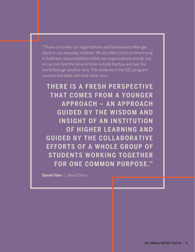"Those of us who run organizations and businesses often get stuck in our everyday routines. We are often short on time trying to fulfill our responsibilities within our organizations and do not, or can not, find the time to think outside the box and see the world through another lens. The students in the CEL program come to the table with that other lens...

**THERE IS A FRESH PERSPECTIVE THAT COMES FROM A YOUNGER APPROACH – AN APPROACH GUIDED BY THE WISDOM AND INSIGHT OF AN INSTITUTION OF HIGHER LEARNING AND GUIDED BY THE COLLABORATIVE EFFORTS OF A WHOLE GROUP OF STUDENTS WORKING TOGETHER FOR ONE COMMON PURPOSE."**

**David Vine** | *Stem2Stern*